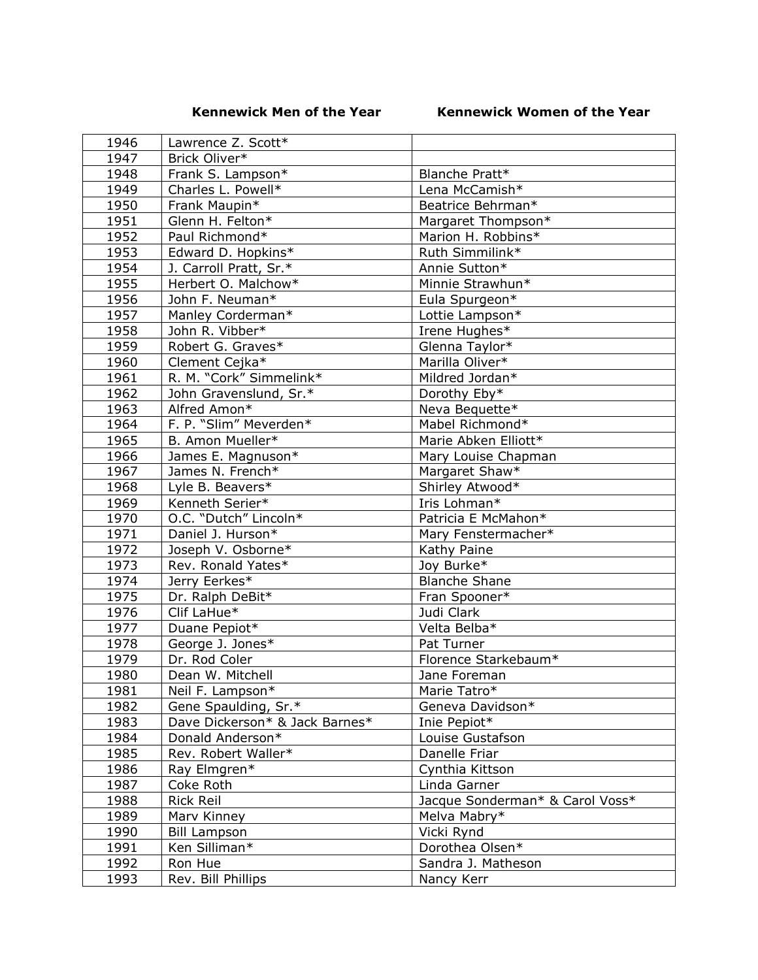## **Kennewick Men of the Year Kennewick Women of the Year**

| 1946 | Lawrence Z. Scott*             |                                       |
|------|--------------------------------|---------------------------------------|
| 1947 | Brick Oliver*                  |                                       |
| 1948 | Frank S. Lampson*              | Blanche Pratt*                        |
| 1949 | Charles L. Powell*             | Lena McCamish*                        |
| 1950 | Frank Maupin*                  | Beatrice Behrman*                     |
| 1951 | Glenn H. Felton*               | Margaret Thompson*                    |
| 1952 | Paul Richmond*                 | Marion H. Robbins*                    |
| 1953 | Edward D. Hopkins*             | Ruth Simmilink*                       |
| 1954 | J. Carroll Pratt, Sr.*         | Annie Sutton*                         |
| 1955 | Herbert O. Malchow*            | Minnie Strawhun*                      |
| 1956 | John F. Neuman*                | Eula Spurgeon*                        |
| 1957 | Manley Corderman*              | Lottie Lampson*                       |
| 1958 | John R. Vibber*                | Irene Hughes*                         |
| 1959 | Robert G. Graves*              | Glenna Taylor*                        |
| 1960 | Clement Cejka*                 | Marilla Oliver*                       |
| 1961 | R. M. "Cork" Simmelink*        | Mildred Jordan*                       |
| 1962 | John Gravenslund, Sr.*         | Dorothy Eby*                          |
| 1963 | Alfred Amon*                   | Neva Bequette*                        |
| 1964 | F. P. "Slim" Meverden*         | Mabel Richmond*                       |
| 1965 | B. Amon Mueller*               | Marie Abken Elliott*                  |
| 1966 | James E. Magnuson*             | Mary Louise Chapman                   |
| 1967 | James N. French*               | Margaret Shaw*                        |
| 1968 | Lyle B. Beavers*               | Shirley Atwood*                       |
| 1969 | Kenneth Serier*                | Iris Lohman*                          |
| 1970 | O.C. "Dutch" Lincoln*          | Patricia E McMahon*                   |
| 1971 | Daniel J. Hurson*              | Mary Fenstermacher*                   |
| 1972 | Joseph V. Osborne*             | Kathy Paine                           |
| 1973 | Rev. Ronald Yates*             | Joy Burke*                            |
| 1974 | Jerry Eerkes*                  | <b>Blanche Shane</b>                  |
| 1975 | Dr. Ralph DeBit*               | Fran Spooner*                         |
| 1976 | Clif LaHue*                    | Judi Clark                            |
| 1977 | Duane Pepiot*                  | Velta Belba*                          |
| 1978 | George J. Jones*               | Pat Turner                            |
| 1979 | Dr. Rod Coler                  | Florence Starkebaum*                  |
| 1980 | Dean W. Mitchell               | Jane Foreman                          |
| 1981 | Neil F. Lampson*               | Marie Tatro*                          |
| 1982 | Gene Spaulding, Sr.*           | Geneva Davidson*                      |
| 1983 | Dave Dickerson* & Jack Barnes* | Inie Pepiot*                          |
| 1984 | Donald Anderson*               | Louise Gustafson                      |
| 1985 | Rev. Robert Waller*            | Danelle Friar                         |
| 1986 | Ray Elmgren*                   | Cynthia Kittson                       |
| 1987 | Coke Roth                      | Linda Garner                          |
| 1988 | <b>Rick Reil</b>               | Jacque Sonderman* & Carol Voss*       |
| 1989 | Marv Kinney                    | Melva Mabry*                          |
| 1990 |                                | Vicki Rynd                            |
|      | <b>Bill Lampson</b>            |                                       |
| 1991 | Ken Silliman*                  | Dorothea Olsen*<br>Sandra J. Matheson |
| 1992 | Ron Hue                        |                                       |
| 1993 | Rev. Bill Phillips             | Nancy Kerr                            |